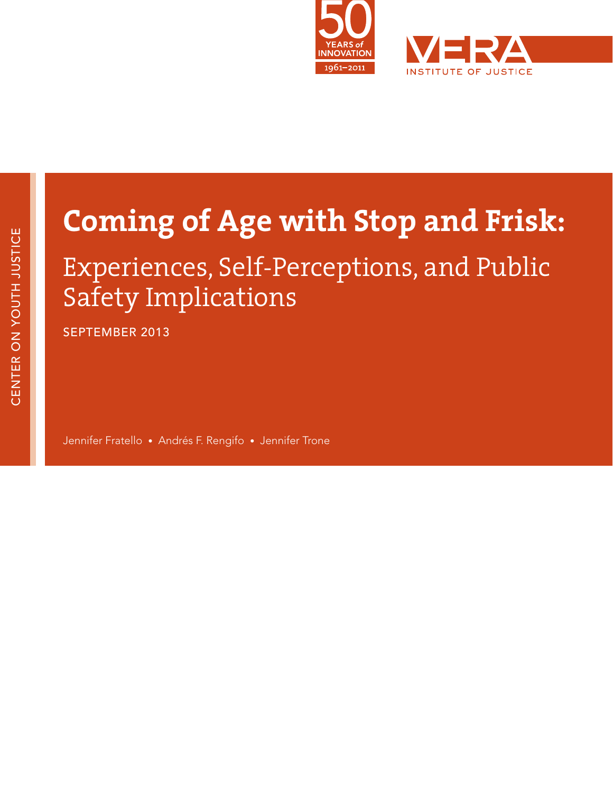

# **Coming of Age with Stop and Frisk:**

# Experiences, Self-Perceptions, and Public Safety Implications

SEPTEMBER 2013

Jennifer Fratello • Andrés F. Rengifo • Jennifer Trone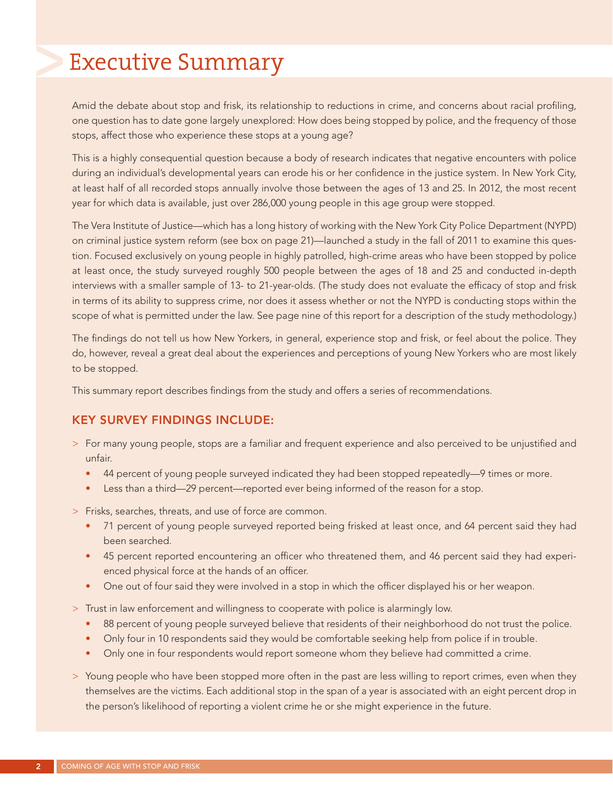# Executive Summary

Amid the debate about stop and frisk, its relationship to reductions in crime, and concerns about racial profiling, one question has to date gone largely unexplored: How does being stopped by police, and the frequency of those stops, affect those who experience these stops at a young age?

This is a highly consequential question because a body of research indicates that negative encounters with police during an individual's developmental years can erode his or her confidence in the justice system. In New York City, at least half of all recorded stops annually involve those between the ages of 13 and 25. In 2012, the most recent year for which data is available, just over 286,000 young people in this age group were stopped.

The Vera Institute of Justice—which has a long history of working with the New York City Police Department (NYPD) on criminal justice system reform (see box on page 21)—launched a study in the fall of 2011 to examine this question. Focused exclusively on young people in highly patrolled, high-crime areas who have been stopped by police at least once, the study surveyed roughly 500 people between the ages of 18 and 25 and conducted in-depth interviews with a smaller sample of 13- to 21-year-olds. (The study does not evaluate the efficacy of stop and frisk in terms of its ability to suppress crime, nor does it assess whether or not the NYPD is conducting stops within the scope of what is permitted under the law. See page nine of this report for a description of the study methodology.)

The findings do not tell us how New Yorkers, in general, experience stop and frisk, or feel about the police. They do, however, reveal a great deal about the experiences and perceptions of young New Yorkers who are most likely to be stopped.

This summary report describes findings from the study and offers a series of recommendations.

#### KEY SURVEY FINDINGS INCLUDE:

- > For many young people, stops are a familiar and frequent experience and also perceived to be unjustified and unfair.
	- 44 percent of young people surveyed indicated they had been stopped repeatedly—9 times or more.
	- Less than a third—29 percent—reported ever being informed of the reason for a stop.
- > Frisks, searches, threats, and use of force are common.
	- 71 percent of young people surveyed reported being frisked at least once, and 64 percent said they had been searched.
	- 45 percent reported encountering an officer who threatened them, and 46 percent said they had experienced physical force at the hands of an officer.
	- One out of four said they were involved in a stop in which the officer displayed his or her weapon.
- > Trust in law enforcement and willingness to cooperate with police is alarmingly low.
	- 88 percent of young people surveyed believe that residents of their neighborhood do not trust the police.
	- Only four in 10 respondents said they would be comfortable seeking help from police if in trouble.
	- Only one in four respondents would report someone whom they believe had committed a crime.
- > Young people who have been stopped more often in the past are less willing to report crimes, even when they themselves are the victims. Each additional stop in the span of a year is associated with an eight percent drop in the person's likelihood of reporting a violent crime he or she might experience in the future.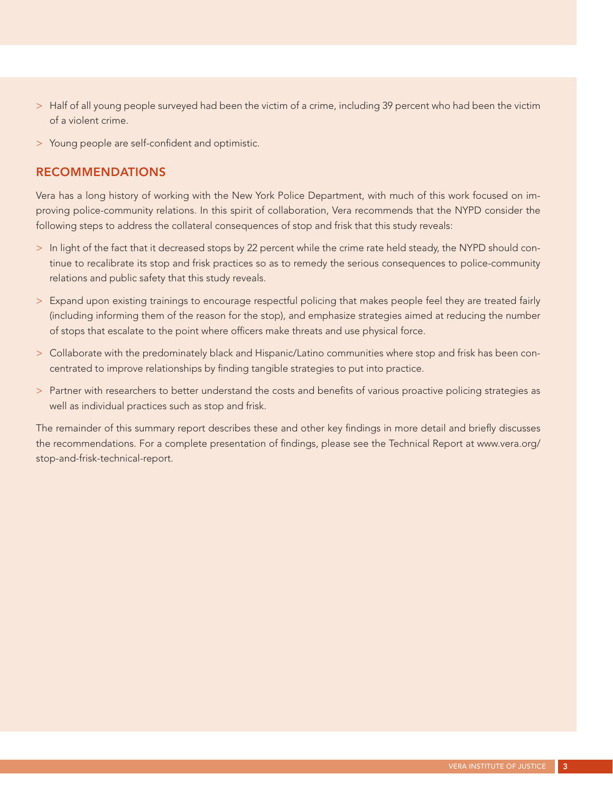- > Half of all young people surveyed had been the victim of a crime, including 39 percent who had been the victim of a violent crime.
- > Young people are self-confident and optimistic.

#### RECOMMENDATIONS

Vera has a long history of working with the New York Police Department, with much of this work focused on improving police-community relations. In this spirit of collaboration, Vera recommends that the NYPD consider the following steps to address the collateral consequences of stop and frisk that this study reveals:

- > In light of the fact that it decreased stops by 22 percent while the crime rate held steady, the NYPD should continue to recalibrate its stop and frisk practices so as to remedy the serious consequences to police-community relations and public safety that this study reveals.
- > Expand upon existing trainings to encourage respectful policing that makes people feel they are treated fairly (including informing them of the reason for the stop), and emphasize strategies aimed at reducing the number of stops that escalate to the point where officers make threats and use physical force.
- > Collaborate with the predominately black and Hispanic/Latino communities where stop and frisk has been concentrated to improve relationships by finding tangible strategies to put into practice.
- > Partner with researchers to better understand the costs and benefits of various proactive policing strategies as well as individual practices such as stop and frisk.

The remainder of this summary report describes these and other key findings in more detail and briefly discusses the recommendations. For a complete presentation of findings, please see the Technical Report at www.vera.org/ stop-and-frisk-technical-report.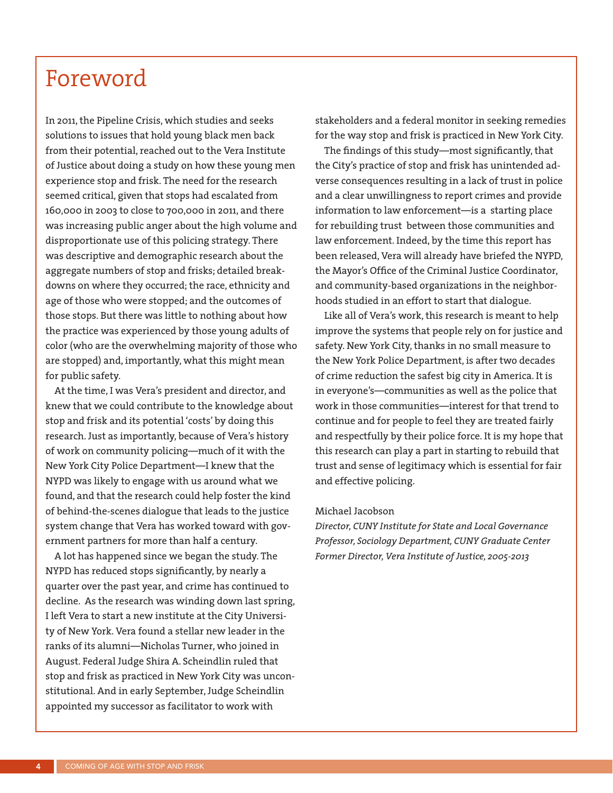# Foreword

In 2011, the Pipeline Crisis, which studies and seeks solutions to issues that hold young black men back from their potential, reached out to the Vera Institute of Justice about doing a study on how these young men experience stop and frisk. The need for the research seemed critical, given that stops had escalated from 160,000 in 2003 to close to 700,000 in 2011, and there was increasing public anger about the high volume and disproportionate use of this policing strategy. There was descriptive and demographic research about the aggregate numbers of stop and frisks; detailed breakdowns on where they occurred; the race, ethnicity and age of those who were stopped; and the outcomes of those stops. But there was little to nothing about how the practice was experienced by those young adults of color (who are the overwhelming majority of those who are stopped) and, importantly, what this might mean for public safety.

At the time, I was Vera's president and director, and knew that we could contribute to the knowledge about stop and frisk and its potential 'costs' by doing this research. Just as importantly, because of Vera's history of work on community policing—much of it with the New York City Police Department—I knew that the NYPD was likely to engage with us around what we found, and that the research could help foster the kind of behind-the-scenes dialogue that leads to the justice system change that Vera has worked toward with government partners for more than half a century.

A lot has happened since we began the study. The NYPD has reduced stops significantly, by nearly a quarter over the past year, and crime has continued to decline. As the research was winding down last spring, I left Vera to start a new institute at the City University of New York. Vera found a stellar new leader in the ranks of its alumni—Nicholas Turner, who joined in August. Federal Judge Shira A. Scheindlin ruled that stop and frisk as practiced in New York City was unconstitutional. And in early September, Judge Scheindlin appointed my successor as facilitator to work with

stakeholders and a federal monitor in seeking remedies for the way stop and frisk is practiced in New York City.

The findings of this study—most significantly, that the City's practice of stop and frisk has unintended adverse consequences resulting in a lack of trust in police and a clear unwillingness to report crimes and provide information to law enforcement—is a starting place for rebuilding trust between those communities and law enforcement. Indeed, by the time this report has been released, Vera will already have briefed the NYPD, the Mayor's Office of the Criminal Justice Coordinator, and community-based organizations in the neighborhoods studied in an effort to start that dialogue.

Like all of Vera's work, this research is meant to help improve the systems that people rely on for justice and safety. New York City, thanks in no small measure to the New York Police Department, is after two decades of crime reduction the safest big city in America. It is in everyone's—communities as well as the police that work in those communities—interest for that trend to continue and for people to feel they are treated fairly and respectfully by their police force. It is my hope that this research can play a part in starting to rebuild that trust and sense of legitimacy which is essential for fair and effective policing.

#### Michael Jacobson

*Director, CUNY Institute for State and Local Governance Professor, Sociology Department, CUNY Graduate Center Former Director, Vera Institute of Justice, 2005-2013*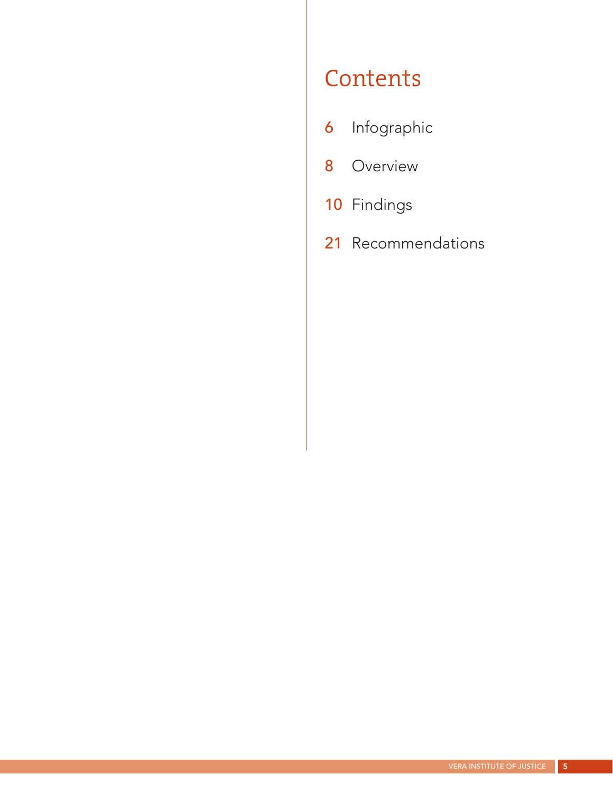# **Contents**

- 6 Infographic
- 8 Overview
- 10 Findings
- 21 Recommendations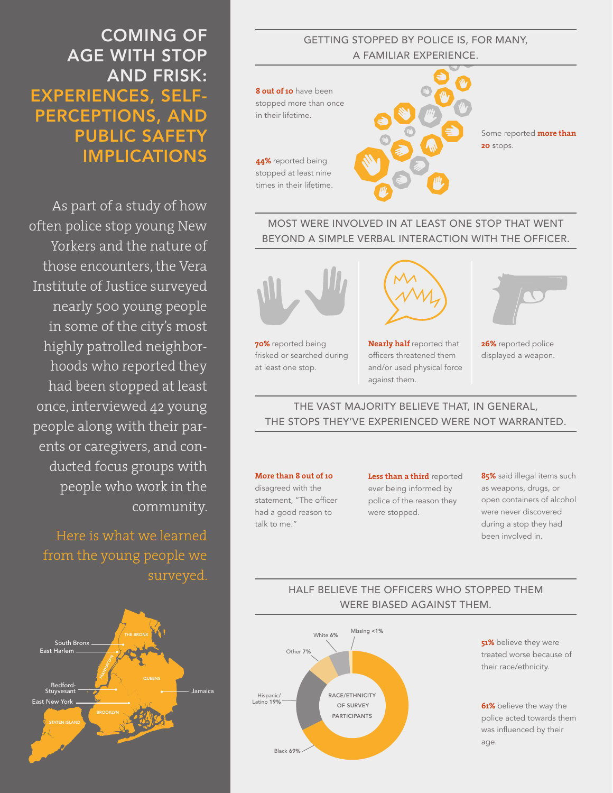## COMING OF AGE WITH STOP AND FRISK: EXPERIENCES, SELF-PERCEPTIONS, AND PUBLIC SAFETY IMPLICATIONS

As part of a study of how often police stop young New Yorkers and the nature of those encounters, the Vera Institute of Justice surveyed nearly 500 young people in some of the city's most highly patrolled neighborhoods who reported they had been stopped at least once, interviewed 42 young people along with their parents or caregivers, and conducted focus groups with people who work in the community.

Here is what we learned from the young people we surveyed.



#### GETTING STOPPED BY POLICE IS, FOR MANY, A FAMILIAR EXPERIENCE.



#### MOST WERE INVOLVED IN AT LEAST ONE STOP THAT WENT BEYOND A SIMPLE VERBAL INTERACTION WITH THE OFFICER.



frisked or searched during at least one stop.

**Nearly half** reported that officers threatened them and/or used physical force against them.



**26%** reported police displayed a weapon.

THE VAST MAJORITY BELIEVE THAT, IN GENERAL, THE STOPS THEY'VE EXPERIENCED WERE NOT WARRANTED.

#### **More than 8 out of 10**  disagreed with the statement, "The officer had a good reason to talk to me."

**Less than a third** reported ever being informed by police of the reason they were stopped.

**85%** said illegal items such as weapons, drugs, or open containers of alcohol were never discovered during a stop they had been involved in.

### HALF BELIEVE THE OFFICERS WHO STOPPED THEM WERE BIASED AGAINST THEM.



**51%** believe they were treated worse because of their race/ethnicity.

**61%** believe the way the police acted towards them was influenced by their age.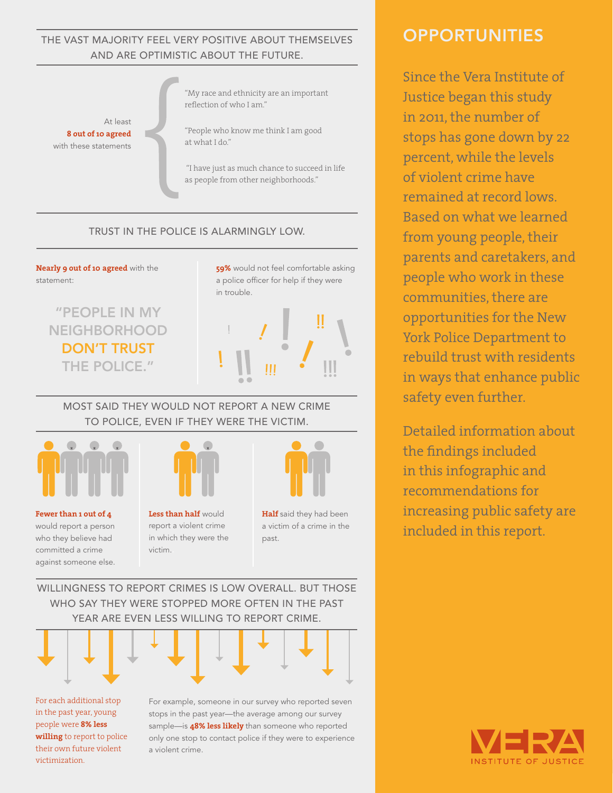#### THE VAST MAJORITY FEEL VERY POSITIVE ABOUT THEMSELVES AND ARE OPTIMISTIC ABOUT THE FUTURE.

At least **8 out of 10 agreed**  with these statements

"My race and ethnicity are an important reflection of who I am."

"People who know me think I am good at what I do."

 "I have just as much chance to succeed in life as people from other neighborhoods."

#### TRUST IN THE POLICE IS ALARMINGLY LOW.



 $\bullet$ 



**Fewer than 1 out of 4**  would report a person who they believe had committed a crime against someone else. **Less than half** would report a violent crime in which they were the victim..



**Half** said they had been a victim of a crime in the past.

WILLINGNESS TO REPORT CRIMES IS LOW OVERALL. BUT THOSE WHO SAY THEY WERE STOPPED MORE OFTEN IN THE PAST YEAR ARE EVEN LESS WILLING TO REPORT CRIME.



For each additional stop in the past year, young people were **8% less willing** to report to police their own future violent victimization.

For example, someone in our survey who reported seven stops in the past year—the average among our survey sample—is **48% less likely** than someone who reported only one stop to contact police if they were to experience a violent crime.

## **OPPORTUNITIES**

Since the Vera Institute of Justice began this study in 2011, the number of stops has gone down by 22 percent, while the levels of violent crime have remained at record lows. Based on what we learned from young people, their parents and caretakers, and people who work in these communities, there are opportunities for the New York Police Department to rebuild trust with residents in ways that enhance public safety even further.

Detailed information about the findings included in this infographic and recommendations for increasing public safety are included in this report.

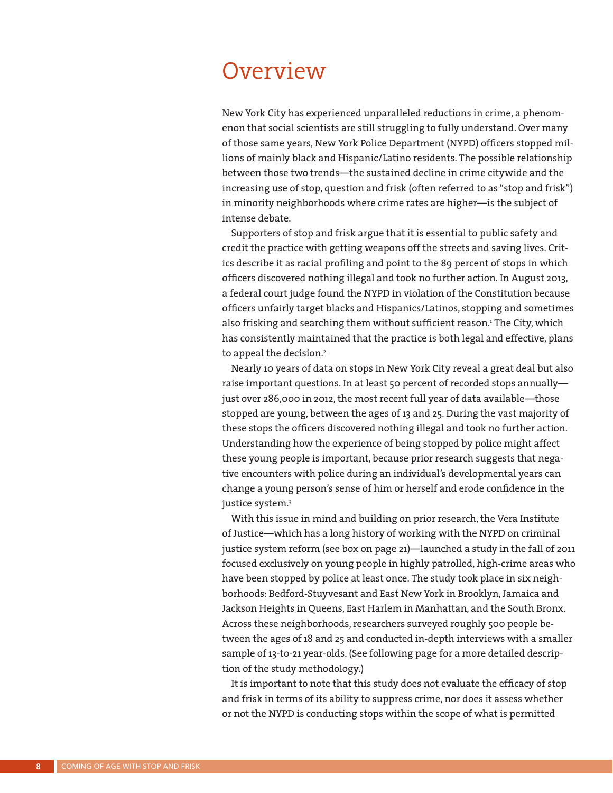## **Overview**

New York City has experienced unparalleled reductions in crime, a phenomenon that social scientists are still struggling to fully understand. Over many of those same years, New York Police Department (NYPD) officers stopped millions of mainly black and Hispanic/Latino residents. The possible relationship between those two trends—the sustained decline in crime citywide and the increasing use of stop, question and frisk (often referred to as "stop and frisk") in minority neighborhoods where crime rates are higher—is the subject of intense debate.

Supporters of stop and frisk argue that it is essential to public safety and credit the practice with getting weapons off the streets and saving lives. Critics describe it as racial profiling and point to the 89 percent of stops in which officers discovered nothing illegal and took no further action. In August 2013, a federal court judge found the NYPD in violation of the Constitution because officers unfairly target blacks and Hispanics/Latinos, stopping and sometimes also frisking and searching them without sufficient reason.<sup>1</sup> The City, which has consistently maintained that the practice is both legal and effective, plans to appeal the decision.<sup>2</sup>

Nearly 10 years of data on stops in New York City reveal a great deal but also raise important questions. In at least 50 percent of recorded stops annually just over 286,000 in 2012, the most recent full year of data available—those stopped are young, between the ages of 13 and 25. During the vast majority of these stops the officers discovered nothing illegal and took no further action. Understanding how the experience of being stopped by police might affect these young people is important, because prior research suggests that negative encounters with police during an individual's developmental years can change a young person's sense of him or herself and erode confidence in the justice system.<sup>3</sup>

With this issue in mind and building on prior research, the Vera Institute of Justice—which has a long history of working with the NYPD on criminal justice system reform (see box on page 21)—launched a study in the fall of 2011 focused exclusively on young people in highly patrolled, high-crime areas who have been stopped by police at least once. The study took place in six neighborhoods: Bedford-Stuyvesant and East New York in Brooklyn, Jamaica and Jackson Heights in Queens, East Harlem in Manhattan, and the South Bronx. Across these neighborhoods, researchers surveyed roughly 500 people between the ages of 18 and 25 and conducted in-depth interviews with a smaller sample of 13-to-21 year-olds. (See following page for a more detailed description of the study methodology.)

It is important to note that this study does not evaluate the efficacy of stop and frisk in terms of its ability to suppress crime, nor does it assess whether or not the NYPD is conducting stops within the scope of what is permitted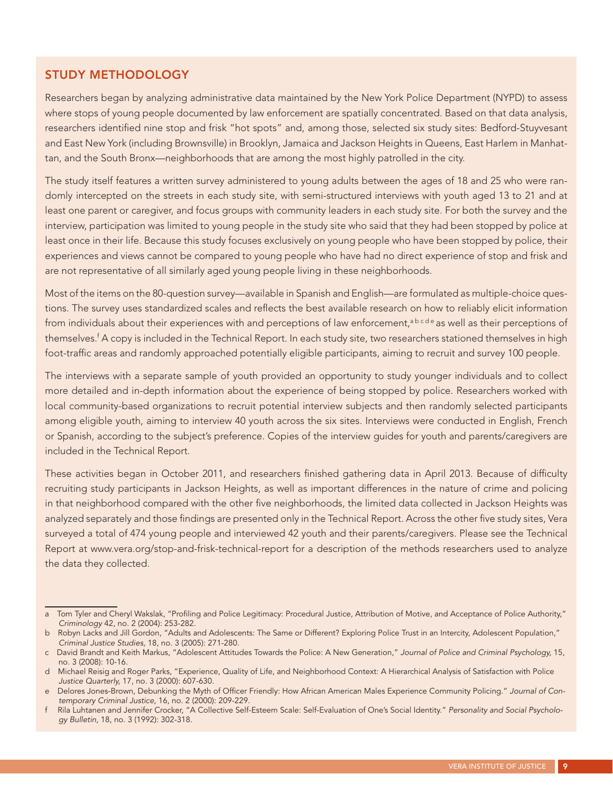#### STUDY METHODOLOGY

Researchers began by analyzing administrative data maintained by the New York Police Department (NYPD) to assess where stops of young people documented by law enforcement are spatially concentrated. Based on that data analysis, researchers identified nine stop and frisk "hot spots" and, among those, selected six study sites: Bedford-Stuyvesant and East New York (including Brownsville) in Brooklyn, Jamaica and Jackson Heights in Queens, East Harlem in Manhattan, and the South Bronx—neighborhoods that are among the most highly patrolled in the city.

The study itself features a written survey administered to young adults between the ages of 18 and 25 who were randomly intercepted on the streets in each study site, with semi-structured interviews with youth aged 13 to 21 and at least one parent or caregiver, and focus groups with community leaders in each study site. For both the survey and the interview, participation was limited to young people in the study site who said that they had been stopped by police at least once in their life. Because this study focuses exclusively on young people who have been stopped by police, their experiences and views cannot be compared to young people who have had no direct experience of stop and frisk and are not representative of all similarly aged young people living in these neighborhoods.

Most of the items on the 80-question survey—available in Spanish and English—are formulated as multiple-choice questions. The survey uses standardized scales and reflects the best available research on how to reliably elicit information from individuals about their experiences with and perceptions of law enforcement,<sup>abcde</sup> as well as their perceptions of themselves.<sup>f</sup> A copy is included in the Technical Report. In each study site, two researchers stationed themselves in high foot-traffic areas and randomly approached potentially eligible participants, aiming to recruit and survey 100 people.

The interviews with a separate sample of youth provided an opportunity to study younger individuals and to collect more detailed and in-depth information about the experience of being stopped by police. Researchers worked with local community-based organizations to recruit potential interview subjects and then randomly selected participants among eligible youth, aiming to interview 40 youth across the six sites. Interviews were conducted in English, French or Spanish, according to the subject's preference. Copies of the interview guides for youth and parents/caregivers are included in the Technical Report.

These activities began in October 2011, and researchers finished gathering data in April 2013. Because of difficulty recruiting study participants in Jackson Heights, as well as important differences in the nature of crime and policing in that neighborhood compared with the other five neighborhoods, the limited data collected in Jackson Heights was analyzed separately and those findings are presented only in the Technical Report. Across the other five study sites, Vera surveyed a total of 474 young people and interviewed 42 youth and their parents/caregivers. Please see the Technical Report at www.vera.org/stop-and-frisk-technical-report for a description of the methods researchers used to analyze the data they collected.

a Tom Tyler and Cheryl Wakslak, "Profiling and Police Legitimacy: Procedural Justice, Attribution of Motive, and Acceptance of Police Authority," *Criminology* 42, no. 2 (2004): 253-282.

b Robyn Lacks and Jill Gordon, "Adults and Adolescents: The Same or Different? Exploring Police Trust in an Intercity, Adolescent Population," *Criminal Justice Studies,* 18, no. 3 (2005): 271-280.

c David Brandt and Keith Markus, "Adolescent Attitudes Towards the Police: A New Generation," *Journal of Police and Criminal Psychology,* 15, no. 3 (2008): 10-16.

d Michael Reisig and Roger Parks, "Experience, Quality of Life, and Neighborhood Context: A Hierarchical Analysis of Satisfaction with Police *Justice Quarterly,* 17, no. 3 (2000): 607-630.

e Delores Jones-Brown, Debunking the Myth of Officer Friendly: How African American Males Experience Community Policing." *Journal of Contemporary Criminal Justice*, 16, no. 2 (2000): 209-229.

f Rila Luhtanen and Jennifer Crocker, "A Collective Self-Esteem Scale: Self-Evaluation of One's Social Identity." *Personality and Social Psychology Bulletin,* 18, no. 3 (1992): 302-318.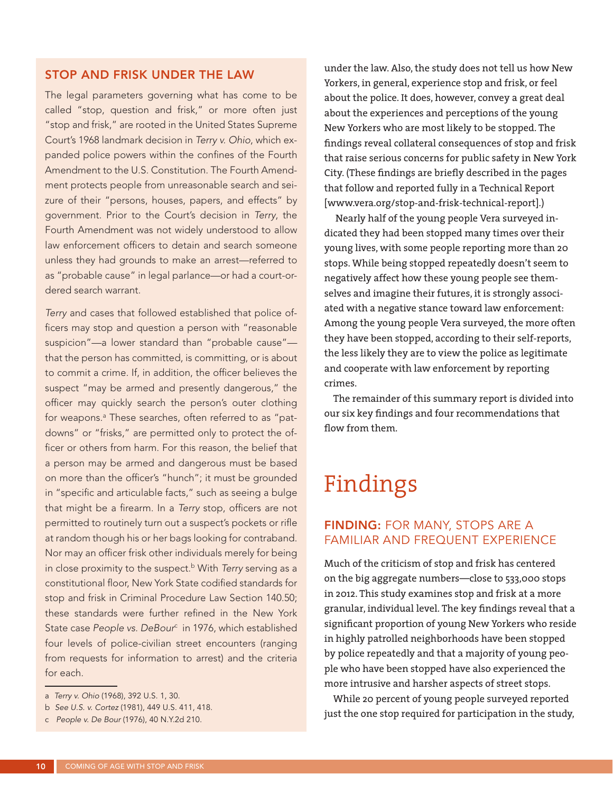#### STOP AND FRISK UNDER THE LAW

The legal parameters governing what has come to be called "stop, question and frisk," or more often just "stop and frisk," are rooted in the United States Supreme Court's 1968 landmark decision in *Terry v. Ohio*, which expanded police powers within the confines of the Fourth Amendment to the U.S. Constitution. The Fourth Amendment protects people from unreasonable search and seizure of their "persons, houses, papers, and effects" by government. Prior to the Court's decision in *Terry*, the Fourth Amendment was not widely understood to allow law enforcement officers to detain and search someone unless they had grounds to make an arrest—referred to as "probable cause" in legal parlance—or had a court-ordered search warrant.

*Terry* and cases that followed established that police officers may stop and question a person with "reasonable suspicion"—a lower standard than "probable cause" that the person has committed, is committing, or is about to commit a crime. If, in addition, the officer believes the suspect "may be armed and presently dangerous," the officer may quickly search the person's outer clothing for weapons.<sup>a</sup> These searches, often referred to as "patdowns" or "frisks," are permitted only to protect the officer or others from harm. For this reason, the belief that a person may be armed and dangerous must be based on more than the officer's "hunch"; it must be grounded in "specific and articulable facts," such as seeing a bulge that might be a firearm. In a *Terry* stop, officers are not permitted to routinely turn out a suspect's pockets or rifle at random though his or her bags looking for contraband. Nor may an officer frisk other individuals merely for being in close proximity to the suspect.<sup>b</sup> With *Terry* serving as a constitutional floor, New York State codified standards for stop and frisk in Criminal Procedure Law Section 140.50; these standards were further refined in the New York State case People vs. DeBour<sup>c</sup> in 1976, which established four levels of police-civilian street encounters (ranging from requests for information to arrest) and the criteria for each.

under the law. Also, the study does not tell us how New Yorkers, in general, experience stop and frisk, or feel about the police. It does, however, convey a great deal about the experiences and perceptions of the young New Yorkers who are most likely to be stopped. The findings reveal collateral consequences of stop and frisk that raise serious concerns for public safety in New York City. (These findings are briefly described in the pages that follow and reported fully in a Technical Report [www.vera.org/stop-and-frisk-technical-report].)

 Nearly half of the young people Vera surveyed indicated they had been stopped many times over their young lives, with some people reporting more than 20 stops. While being stopped repeatedly doesn't seem to negatively affect how these young people see themselves and imagine their futures, it is strongly associated with a negative stance toward law enforcement: Among the young people Vera surveyed, the more often they have been stopped, according to their self-reports, the less likely they are to view the police as legitimate and cooperate with law enforcement by reporting crimes.

The remainder of this summary report is divided into our six key findings and four recommendations that flow from them.

# Findings

#### FINDING: FOR MANY, STOPS ARE A FAMILIAR AND FREQUENT EXPERIENCE

Much of the criticism of stop and frisk has centered on the big aggregate numbers—close to 533,000 stops in 2012. This study examines stop and frisk at a more granular, individual level. The key findings reveal that a significant proportion of young New Yorkers who reside in highly patrolled neighborhoods have been stopped by police repeatedly and that a majority of young people who have been stopped have also experienced the more intrusive and harsher aspects of street stops.

While 20 percent of young people surveyed reported just the one stop required for participation in the study,

a *Terry v. Ohio* (1968), 392 U.S. 1, 30.

b *See U.S. v. Cortez* (1981), 449 U.S. 411, 418.

c *People v. De Bour* (1976), 40 N.Y.2d 210.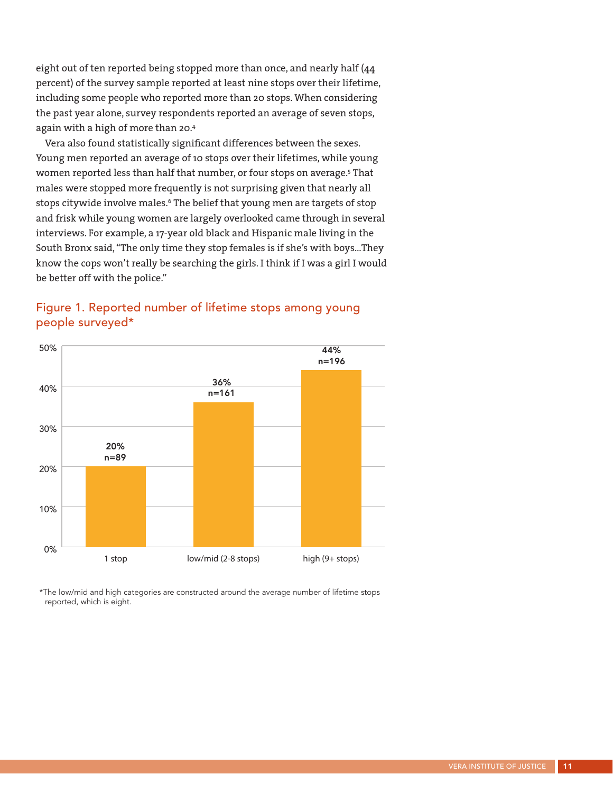eight out of ten reported being stopped more than once, and nearly half (44 percent) of the survey sample reported at least nine stops over their lifetime, including some people who reported more than 20 stops. When considering the past year alone, survey respondents reported an average of seven stops, again with a high of more than 20.4

Vera also found statistically significant differences between the sexes. Young men reported an average of 10 stops over their lifetimes, while young women reported less than half that number, or four stops on average.<sup>5</sup> That males were stopped more frequently is not surprising given that nearly all stops citywide involve males.<sup>6</sup> The belief that young men are targets of stop and frisk while young women are largely overlooked came through in several interviews. For example, a 17-year old black and Hispanic male living in the South Bronx said, "The only time they stop females is if she's with boys…They know the cops won't really be searching the girls. I think if I was a girl I would be better off with the police."



### Figure 1. Reported number of lifetime stops among young people surveyed\*

\*The low/mid and high categories are constructed around the average number of lifetime stops reported, which is eight.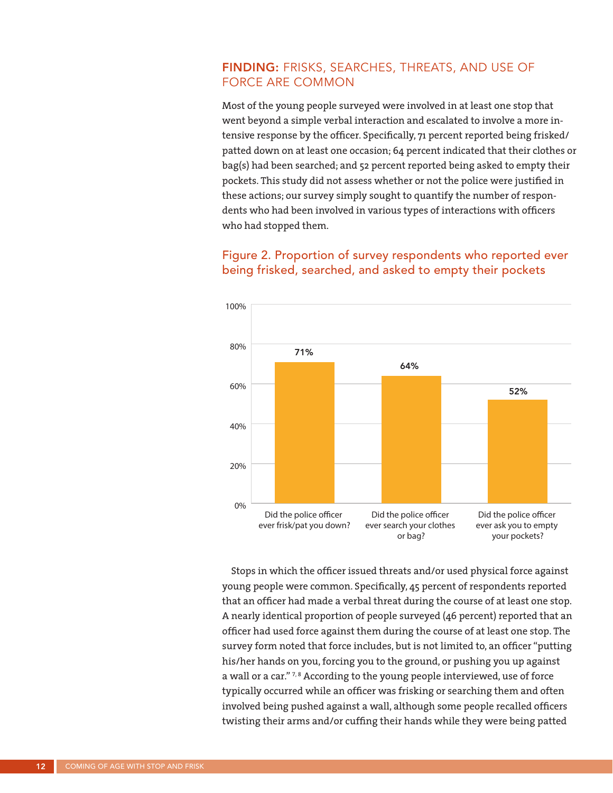#### FINDING: FRISKS, SEARCHES, THREATS, AND USE OF FORCE ARE COMMON

Most of the young people surveyed were involved in at least one stop that went beyond a simple verbal interaction and escalated to involve a more intensive response by the officer. Specifically, 71 percent reported being frisked/ patted down on at least one occasion; 64 percent indicated that their clothes or bag(s) had been searched; and 52 percent reported being asked to empty their pockets. This study did not assess whether or not the police were justified in these actions; our survey simply sought to quantify the number of respondents who had been involved in various types of interactions with officers who had stopped them.

### Figure 2. Proportion of survey respondents who reported ever being frisked, searched, and asked to empty their pockets



Stops in which the officer issued threats and/or used physical force against young people were common. Specifically, 45 percent of respondents reported that an officer had made a verbal threat during the course of at least one stop. A nearly identical proportion of people surveyed (46 percent) reported that an officer had used force against them during the course of at least one stop. The survey form noted that force includes, but is not limited to, an officer "putting his/her hands on you, forcing you to the ground, or pushing you up against a wall or a car."<sup>7,8</sup> According to the young people interviewed, use of force typically occurred while an officer was frisking or searching them and often involved being pushed against a wall, although some people recalled officers twisting their arms and/or cuffing their hands while they were being patted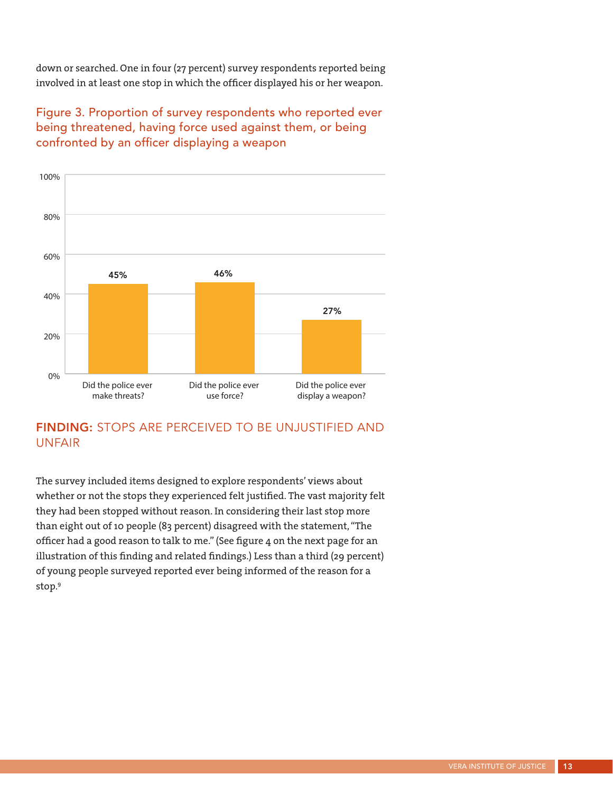down or searched. One in four (27 percent) survey respondents reported being involved in at least one stop in which the officer displayed his or her weapon.

### Figure 3. Proportion of survey respondents who reported ever being threatened, having force used against them, or being confronted by an officer displaying a weapon



### FINDING: STOPS ARE PERCEIVED TO BE UNJUSTIFIED AND UNFAIR

The survey included items designed to explore respondents' views about whether or not the stops they experienced felt justified. The vast majority felt they had been stopped without reason. In considering their last stop more than eight out of 10 people (83 percent) disagreed with the statement, "The officer had a good reason to talk to me." (See figure 4 on the next page for an illustration of this finding and related findings.) Less than a third (29 percent) of young people surveyed reported ever being informed of the reason for a stop.9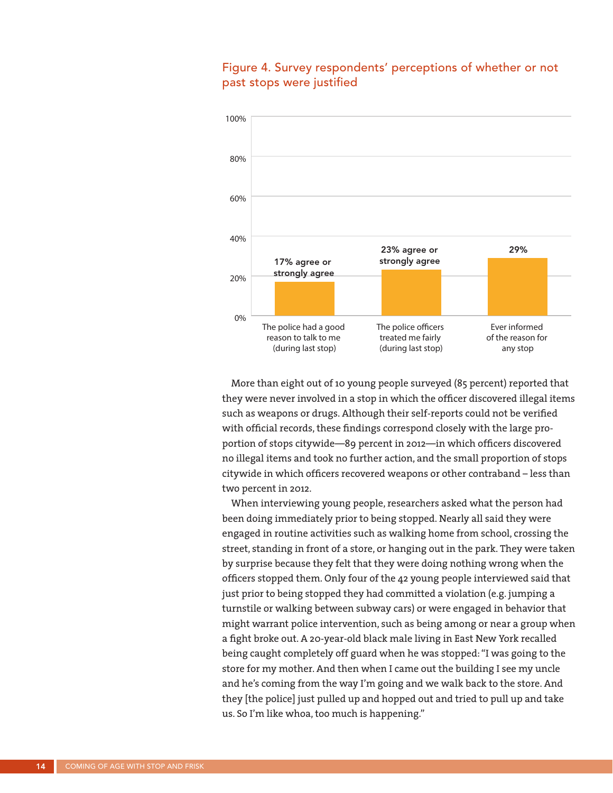

#### Figure 4. Survey respondents' perceptions of whether or not past stops were justified

More than eight out of 10 young people surveyed (85 percent) reported that they were never involved in a stop in which the officer discovered illegal items such as weapons or drugs. Although their self-reports could not be verified with official records, these findings correspond closely with the large proportion of stops citywide—89 percent in 2012—in which officers discovered no illegal items and took no further action, and the small proportion of stops citywide in which officers recovered weapons or other contraband – less than two percent in 2012.

When interviewing young people, researchers asked what the person had been doing immediately prior to being stopped. Nearly all said they were engaged in routine activities such as walking home from school, crossing the street, standing in front of a store, or hanging out in the park. They were taken by surprise because they felt that they were doing nothing wrong when the officers stopped them. Only four of the 42 young people interviewed said that just prior to being stopped they had committed a violation (e.g. jumping a turnstile or walking between subway cars) or were engaged in behavior that might warrant police intervention, such as being among or near a group when a fight broke out. A 20-year-old black male living in East New York recalled being caught completely off guard when he was stopped: "I was going to the store for my mother. And then when I came out the building I see my uncle and he's coming from the way I'm going and we walk back to the store. And they [the police] just pulled up and hopped out and tried to pull up and take us. So I'm like whoa, too much is happening."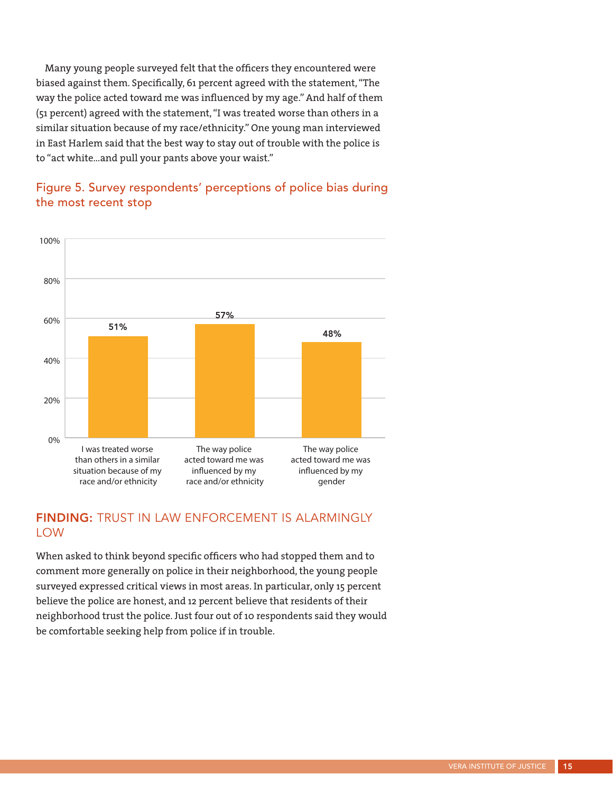Many young people surveyed felt that the officers they encountered were biased against them. Specifically, 61 percent agreed with the statement, "The way the police acted toward me was influenced by my age." And half of them (51 percent) agreed with the statement, "I was treated worse than others in a similar situation because of my race/ethnicity." One young man interviewed in East Harlem said that the best way to stay out of trouble with the police is to "act white…and pull your pants above your waist."

### Figure 5. Survey respondents' perceptions of police bias during the most recent stop



#### FINDING: TRUST IN LAW ENFORCEMENT IS ALARMINGLY LOW

When asked to think beyond specific officers who had stopped them and to comment more generally on police in their neighborhood, the young people surveyed expressed critical views in most areas. In particular, only 15 percent believe the police are honest, and 12 percent believe that residents of their neighborhood trust the police. Just four out of 10 respondents said they would be comfortable seeking help from police if in trouble.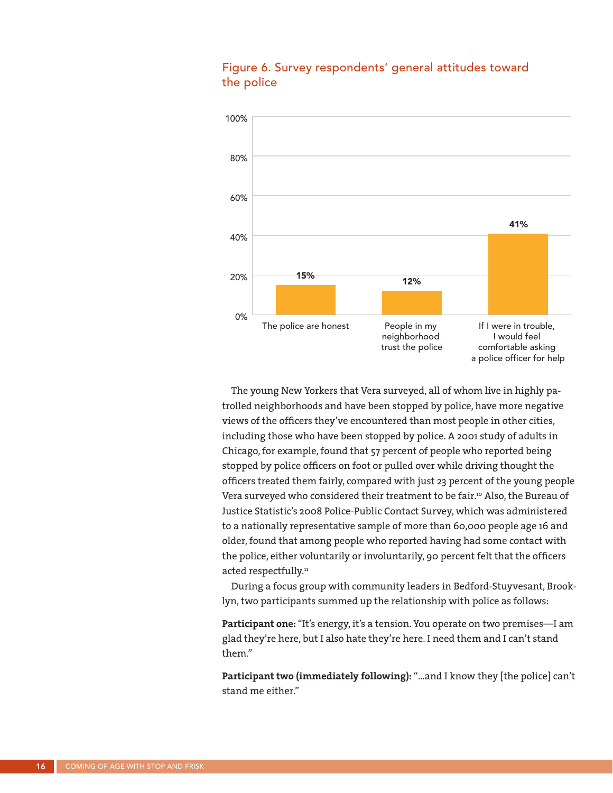

#### Figure 6. Survey respondents' general attitudes toward the police

The young New Yorkers that Vera surveyed, all of whom live in highly patrolled neighborhoods and have been stopped by police, have more negative views of the officers they've encountered than most people in other cities, including those who have been stopped by police. A 2001 study of adults in Chicago, for example, found that 57 percent of people who reported being stopped by police officers on foot or pulled over while driving thought the officers treated them fairly, compared with just 23 percent of the young people Vera surveyed who considered their treatment to be fair.<sup>10</sup> Also, the Bureau of Justice Statistic's 2008 Police-Public Contact Survey, which was administered to a nationally representative sample of more than 60,000 people age 16 and older, found that among people who reported having had some contact with the police, either voluntarily or involuntarily, 90 percent felt that the officers acted respectfully.<sup>11</sup>

During a focus group with community leaders in Bedford-Stuyvesant, Brooklyn, two participants summed up the relationship with police as follows:

**Participant one:** "It's energy, it's a tension. You operate on two premises—I am glad they're here, but I also hate they're here. I need them and I can't stand them."

**Participant two (immediately following):** "…and I know they [the police] can't stand me either."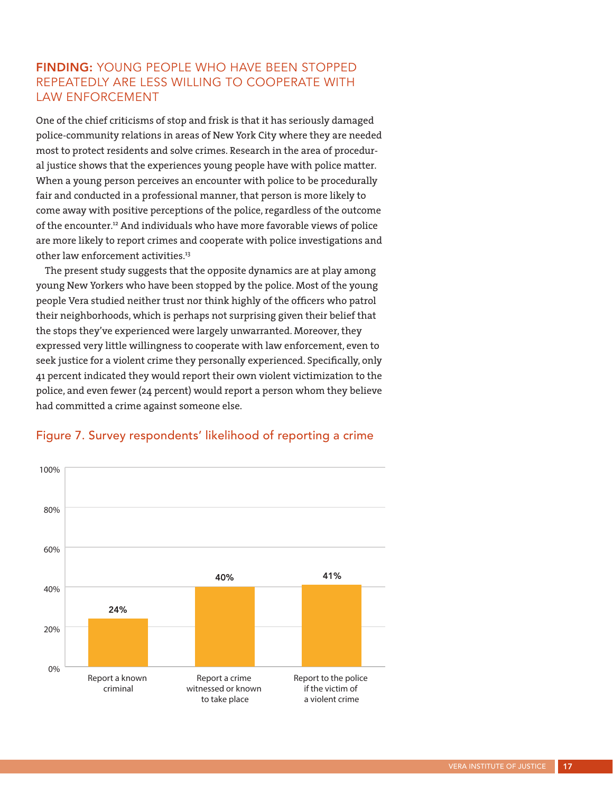### FINDING: YOUNG PEOPLE WHO HAVE BEEN STOPPED REPEATEDLY ARE LESS WILLING TO COOPERATE WITH LAW ENFORCEMENT

One of the chief criticisms of stop and frisk is that it has seriously damaged police-community relations in areas of New York City where they are needed most to protect residents and solve crimes. Research in the area of procedural justice shows that the experiences young people have with police matter. When a young person perceives an encounter with police to be procedurally fair and conducted in a professional manner, that person is more likely to come away with positive perceptions of the police, regardless of the outcome of the encounter.<sup>12</sup> And individuals who have more favorable views of police are more likely to report crimes and cooperate with police investigations and other law enforcement activities.<sup>13</sup>

The present study suggests that the opposite dynamics are at play among young New Yorkers who have been stopped by the police. Most of the young people Vera studied neither trust nor think highly of the officers who patrol their neighborhoods, which is perhaps not surprising given their belief that the stops they've experienced were largely unwarranted. Moreover, they expressed very little willingness to cooperate with law enforcement, even to seek justice for a violent crime they personally experienced. Specifically, only 41 percent indicated they would report their own violent victimization to the police, and even fewer (24 percent) would report a person whom they believe had committed a crime against someone else.



#### Figure 7. Survey respondents' likelihood of reporting a crime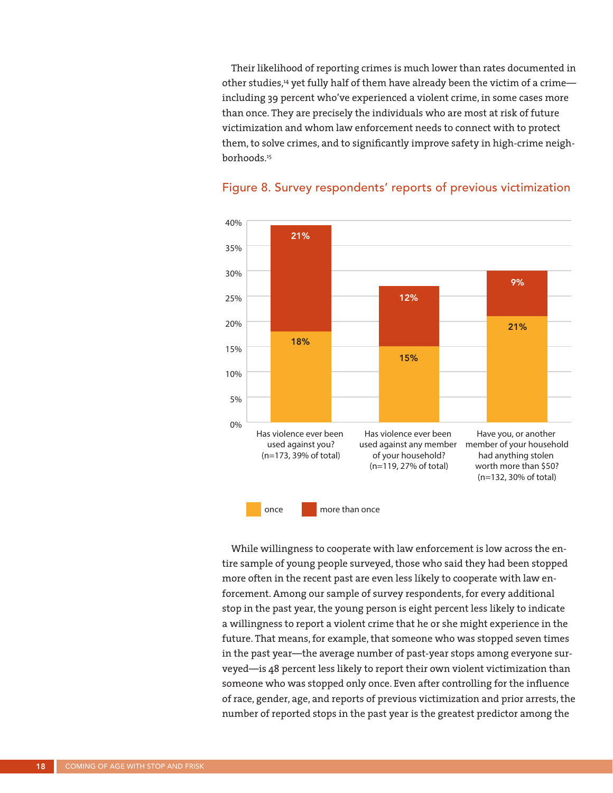Their likelihood of reporting crimes is much lower than rates documented in other studies,<sup>14</sup> yet fully half of them have already been the victim of a crimeincluding 39 percent who've experienced a violent crime, in some cases more than once. They are precisely the individuals who are most at risk of future victimization and whom law enforcement needs to connect with to protect them, to solve crimes, and to significantly improve safety in high-crime neighborhoods.15



#### Figure 8. Survey respondents' reports of previous victimization

While willingness to cooperate with law enforcement is low across the entire sample of young people surveyed, those who said they had been stopped more often in the recent past are even less likely to cooperate with law enforcement. Among our sample of survey respondents, for every additional stop in the past year, the young person is eight percent less likely to indicate a willingness to report a violent crime that he or she might experience in the future. That means, for example, that someone who was stopped seven times in the past year—the average number of past-year stops among everyone surveyed—is 48 percent less likely to report their own violent victimization than someone who was stopped only once. Even after controlling for the influence of race, gender, age, and reports of previous victimization and prior arrests, the number of reported stops in the past year is the greatest predictor among the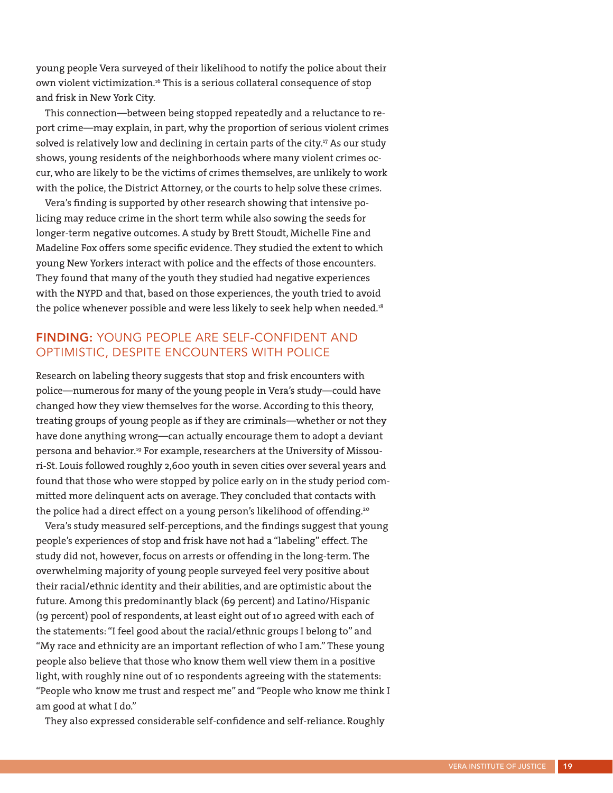young people Vera surveyed of their likelihood to notify the police about their own violent victimization.16 This is a serious collateral consequence of stop and frisk in New York City.

This connection—between being stopped repeatedly and a reluctance to report crime—may explain, in part, why the proportion of serious violent crimes solved is relatively low and declining in certain parts of the city.<sup>17</sup> As our study shows, young residents of the neighborhoods where many violent crimes occur, who are likely to be the victims of crimes themselves, are unlikely to work with the police, the District Attorney, or the courts to help solve these crimes.

Vera's finding is supported by other research showing that intensive policing may reduce crime in the short term while also sowing the seeds for longer-term negative outcomes. A study by Brett Stoudt, Michelle Fine and Madeline Fox offers some specific evidence. They studied the extent to which young New Yorkers interact with police and the effects of those encounters. They found that many of the youth they studied had negative experiences with the NYPD and that, based on those experiences, the youth tried to avoid the police whenever possible and were less likely to seek help when needed.<sup>18</sup>

#### FINDING: YOUNG PEOPLE ARE SELF-CONFIDENT AND OPTIMISTIC, DESPITE ENCOUNTERS WITH POLICE

Research on labeling theory suggests that stop and frisk encounters with police—numerous for many of the young people in Vera's study—could have changed how they view themselves for the worse. According to this theory, treating groups of young people as if they are criminals—whether or not they have done anything wrong—can actually encourage them to adopt a deviant persona and behavior.19 For example, researchers at the University of Missouri-St. Louis followed roughly 2,600 youth in seven cities over several years and found that those who were stopped by police early on in the study period committed more delinquent acts on average. They concluded that contacts with the police had a direct effect on a young person's likelihood of offending.<sup>20</sup>

Vera's study measured self-perceptions, and the findings suggest that young people's experiences of stop and frisk have not had a "labeling" effect. The study did not, however, focus on arrests or offending in the long-term. The overwhelming majority of young people surveyed feel very positive about their racial/ethnic identity and their abilities, and are optimistic about the future. Among this predominantly black (69 percent) and Latino/Hispanic (19 percent) pool of respondents, at least eight out of 10 agreed with each of the statements: "I feel good about the racial/ethnic groups I belong to" and "My race and ethnicity are an important reflection of who I am." These young people also believe that those who know them well view them in a positive light, with roughly nine out of 10 respondents agreeing with the statements: "People who know me trust and respect me" and "People who know me think I am good at what I do."

They also expressed considerable self-confidence and self-reliance. Roughly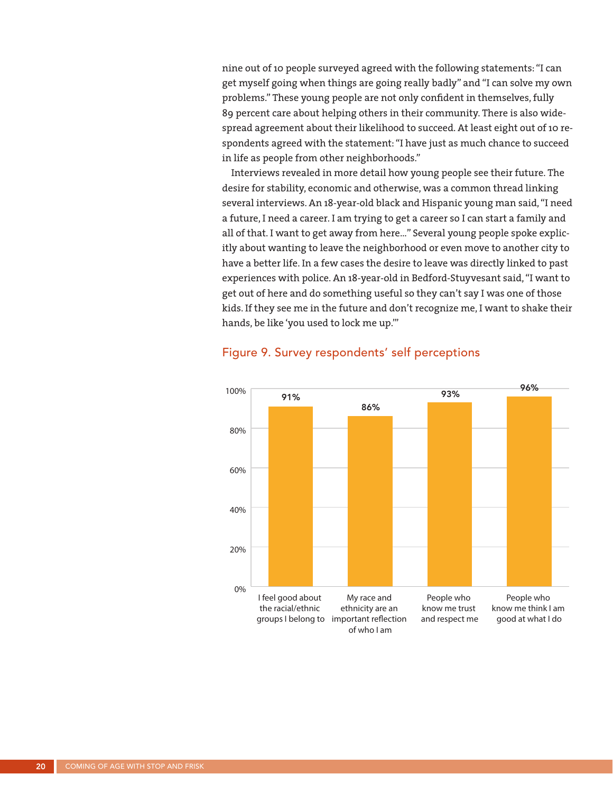nine out of 10 people surveyed agreed with the following statements: "I can get myself going when things are going really badly" and "I can solve my own problems." These young people are not only confident in themselves, fully 89 percent care about helping others in their community. There is also widespread agreement about their likelihood to succeed. At least eight out of 10 respondents agreed with the statement: "I have just as much chance to succeed in life as people from other neighborhoods."

Interviews revealed in more detail how young people see their future. The desire for stability, economic and otherwise, was a common thread linking several interviews. An 18-year-old black and Hispanic young man said, "I need a future, I need a career. I am trying to get a career so I can start a family and all of that. I want to get away from here…" Several young people spoke explicitly about wanting to leave the neighborhood or even move to another city to have a better life. In a few cases the desire to leave was directly linked to past experiences with police. An 18-year-old in Bedford-Stuyvesant said, "I want to get out of here and do something useful so they can't say I was one of those kids. If they see me in the future and don't recognize me, I want to shake their hands, be like 'you used to lock me up.'"



#### Figure 9. Survey respondents' self perceptions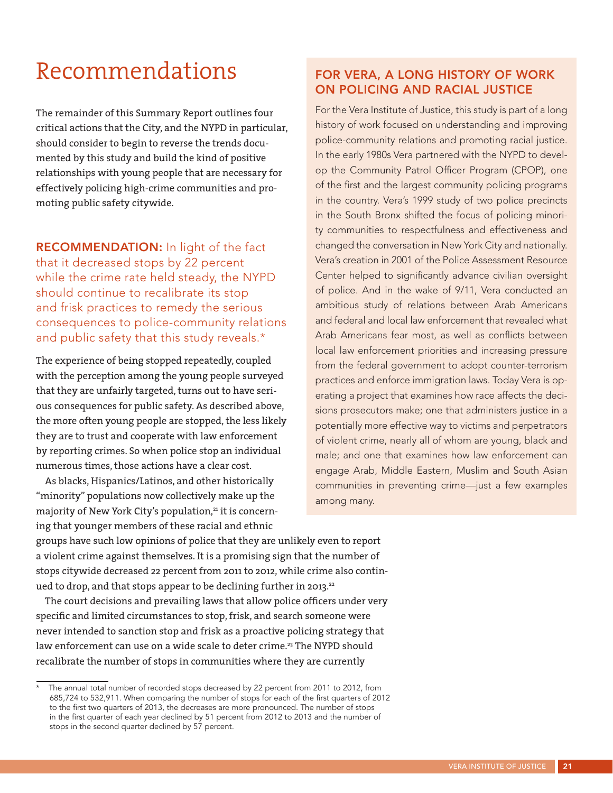# Recommendations

The remainder of this Summary Report outlines four critical actions that the City, and the NYPD in particular, should consider to begin to reverse the trends documented by this study and build the kind of positive relationships with young people that are necessary for effectively policing high-crime communities and promoting public safety citywide.

RECOMMENDATION: In light of the fact that it decreased stops by 22 percent while the crime rate held steady, the NYPD should continue to recalibrate its stop and frisk practices to remedy the serious consequences to police-community relations and public safety that this study reveals.\*

The experience of being stopped repeatedly, coupled with the perception among the young people surveyed that they are unfairly targeted, turns out to have serious consequences for public safety. As described above, the more often young people are stopped, the less likely they are to trust and cooperate with law enforcement by reporting crimes. So when police stop an individual numerous times, those actions have a clear cost.

As blacks, Hispanics/Latinos, and other historically "minority" populations now collectively make up the majority of New York City's population,<sup>21</sup> it is concerning that younger members of these racial and ethnic

#### FOR VERA, A LONG HISTORY OF WORK ON POLICING AND RACIAL JUSTICE

For the Vera Institute of Justice, this study is part of a long history of work focused on understanding and improving police-community relations and promoting racial justice. In the early 1980s Vera partnered with the NYPD to develop the Community Patrol Officer Program (CPOP), one of the first and the largest community policing programs in the country. Vera's 1999 study of two police precincts in the South Bronx shifted the focus of policing minority communities to respectfulness and effectiveness and changed the conversation in New York City and nationally. Vera's creation in 2001 of the Police Assessment Resource Center helped to significantly advance civilian oversight of police. And in the wake of 9/11, Vera conducted an ambitious study of relations between Arab Americans and federal and local law enforcement that revealed what Arab Americans fear most, as well as conflicts between local law enforcement priorities and increasing pressure from the federal government to adopt counter-terrorism practices and enforce immigration laws. Today Vera is operating a project that examines how race affects the decisions prosecutors make; one that administers justice in a potentially more effective way to victims and perpetrators of violent crime, nearly all of whom are young, black and male; and one that examines how law enforcement can engage Arab, Middle Eastern, Muslim and South Asian communities in preventing crime—just a few examples among many.

groups have such low opinions of police that they are unlikely even to report a violent crime against themselves. It is a promising sign that the number of stops citywide decreased 22 percent from 2011 to 2012, while crime also continued to drop, and that stops appear to be declining further in 2013.<sup>22</sup>

The court decisions and prevailing laws that allow police officers under very specific and limited circumstances to stop, frisk, and search someone were never intended to sanction stop and frisk as a proactive policing strategy that law enforcement can use on a wide scale to deter crime.<sup>23</sup> The NYPD should recalibrate the number of stops in communities where they are currently

The annual total number of recorded stops decreased by 22 percent from 2011 to 2012, from 685,724 to 532,911. When comparing the number of stops for each of the first quarters of 2012 to the first two quarters of 2013, the decreases are more pronounced. The number of stops in the first quarter of each year declined by 51 percent from 2012 to 2013 and the number of stops in the second quarter declined by 57 percent.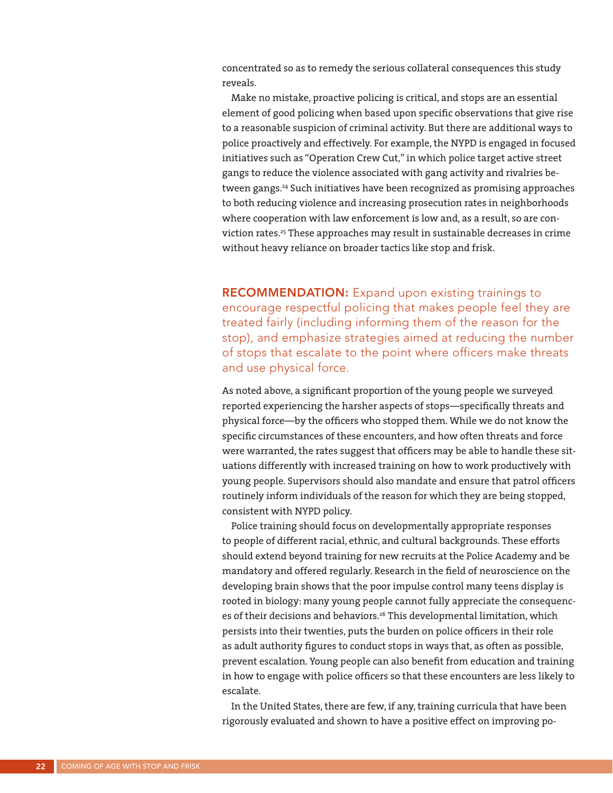concentrated so as to remedy the serious collateral consequences this study reveals.

Make no mistake, proactive policing is critical, and stops are an essential element of good policing when based upon specific observations that give rise to a reasonable suspicion of criminal activity. But there are additional ways to police proactively and effectively. For example, the NYPD is engaged in focused initiatives such as "Operation Crew Cut," in which police target active street gangs to reduce the violence associated with gang activity and rivalries between gangs.<sup>24</sup> Such initiatives have been recognized as promising approaches to both reducing violence and increasing prosecution rates in neighborhoods where cooperation with law enforcement is low and, as a result, so are conviction rates.<sup>25</sup> These approaches may result in sustainable decreases in crime without heavy reliance on broader tactics like stop and frisk.

**RECOMMENDATION:** Expand upon existing trainings to encourage respectful policing that makes people feel they are treated fairly (including informing them of the reason for the stop), and emphasize strategies aimed at reducing the number of stops that escalate to the point where officers make threats and use physical force.

As noted above, a significant proportion of the young people we surveyed reported experiencing the harsher aspects of stops—specifically threats and physical force—by the officers who stopped them. While we do not know the specific circumstances of these encounters, and how often threats and force were warranted, the rates suggest that officers may be able to handle these situations differently with increased training on how to work productively with young people. Supervisors should also mandate and ensure that patrol officers routinely inform individuals of the reason for which they are being stopped, consistent with NYPD policy.

Police training should focus on developmentally appropriate responses to people of different racial, ethnic, and cultural backgrounds. These efforts should extend beyond training for new recruits at the Police Academy and be mandatory and offered regularly. Research in the field of neuroscience on the developing brain shows that the poor impulse control many teens display is rooted in biology: many young people cannot fully appreciate the consequences of their decisions and behaviors.<sup>26</sup> This developmental limitation, which persists into their twenties, puts the burden on police officers in their role as adult authority figures to conduct stops in ways that, as often as possible, prevent escalation. Young people can also benefit from education and training in how to engage with police officers so that these encounters are less likely to escalate.

In the United States, there are few, if any, training curricula that have been rigorously evaluated and shown to have a positive effect on improving po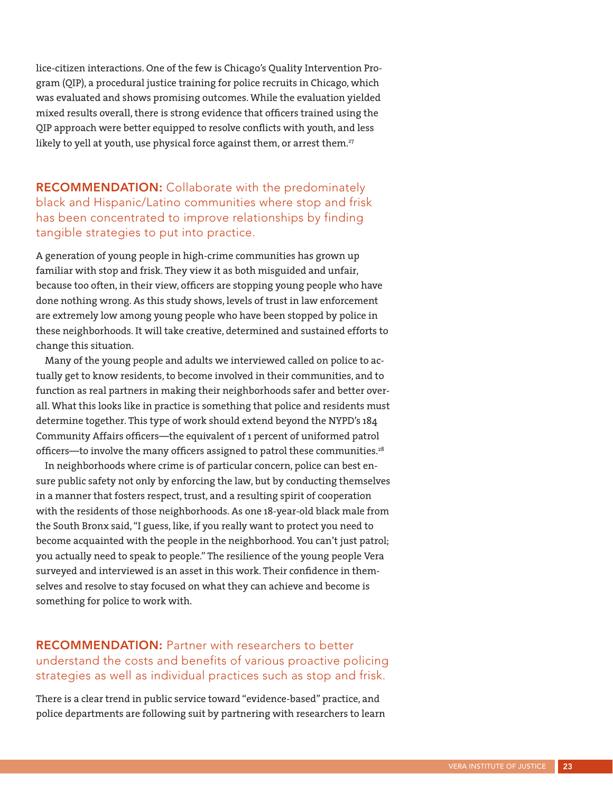lice-citizen interactions. One of the few is Chicago's Quality Intervention Program (QIP), a procedural justice training for police recruits in Chicago, which was evaluated and shows promising outcomes. While the evaluation yielded mixed results overall, there is strong evidence that officers trained using the QIP approach were better equipped to resolve conflicts with youth, and less likely to yell at youth, use physical force against them, or arrest them.<sup>27</sup>

RECOMMENDATION: Collaborate with the predominately black and Hispanic/Latino communities where stop and frisk has been concentrated to improve relationships by finding tangible strategies to put into practice.

A generation of young people in high-crime communities has grown up familiar with stop and frisk. They view it as both misguided and unfair, because too often, in their view, officers are stopping young people who have done nothing wrong. As this study shows, levels of trust in law enforcement are extremely low among young people who have been stopped by police in these neighborhoods. It will take creative, determined and sustained efforts to change this situation.

Many of the young people and adults we interviewed called on police to actually get to know residents, to become involved in their communities, and to function as real partners in making their neighborhoods safer and better overall. What this looks like in practice is something that police and residents must determine together. This type of work should extend beyond the NYPD's 184 Community Affairs officers—the equivalent of 1 percent of uniformed patrol officers—to involve the many officers assigned to patrol these communities.<sup>28</sup>

In neighborhoods where crime is of particular concern, police can best ensure public safety not only by enforcing the law, but by conducting themselves in a manner that fosters respect, trust, and a resulting spirit of cooperation with the residents of those neighborhoods. As one 18-year-old black male from the South Bronx said, "I guess, like, if you really want to protect you need to become acquainted with the people in the neighborhood. You can't just patrol; you actually need to speak to people." The resilience of the young people Vera surveyed and interviewed is an asset in this work. Their confidence in themselves and resolve to stay focused on what they can achieve and become is something for police to work with.

RECOMMENDATION: Partner with researchers to better understand the costs and benefits of various proactive policing strategies as well as individual practices such as stop and frisk.

There is a clear trend in public service toward "evidence-based" practice, and police departments are following suit by partnering with researchers to learn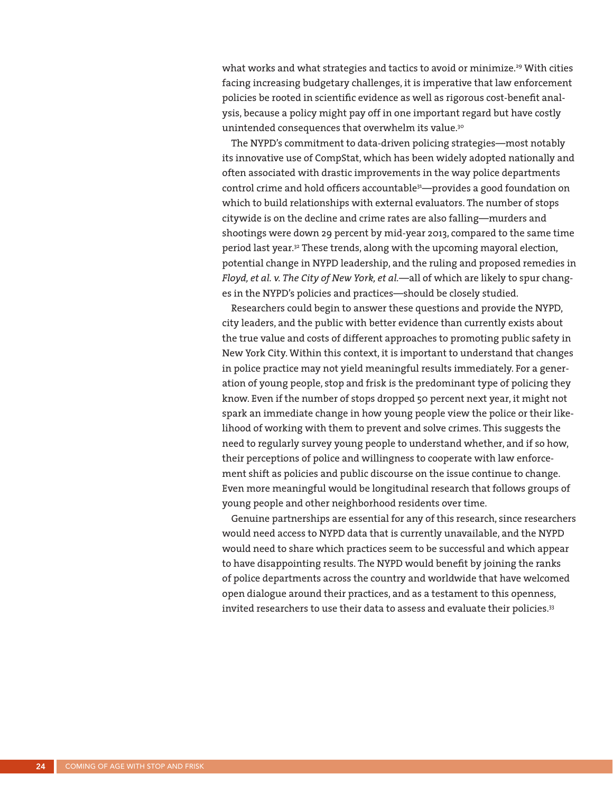what works and what strategies and tactics to avoid or minimize.<sup>29</sup> With cities facing increasing budgetary challenges, it is imperative that law enforcement policies be rooted in scientific evidence as well as rigorous cost-benefit analysis, because a policy might pay off in one important regard but have costly unintended consequences that overwhelm its value.<sup>30</sup>

The NYPD's commitment to data-driven policing strategies—most notably its innovative use of CompStat, which has been widely adopted nationally and often associated with drastic improvements in the way police departments control crime and hold officers accountable<sup>31</sup>—provides a good foundation on which to build relationships with external evaluators. The number of stops citywide is on the decline and crime rates are also falling—murders and shootings were down 29 percent by mid-year 2013, compared to the same time period last year.32 These trends, along with the upcoming mayoral election, potential change in NYPD leadership, and the ruling and proposed remedies in *Floyd, et al. v. The City of New York, et al.*—all of which are likely to spur changes in the NYPD's policies and practices—should be closely studied.

Researchers could begin to answer these questions and provide the NYPD, city leaders, and the public with better evidence than currently exists about the true value and costs of different approaches to promoting public safety in New York City. Within this context, it is important to understand that changes in police practice may not yield meaningful results immediately. For a generation of young people, stop and frisk is the predominant type of policing they know. Even if the number of stops dropped 50 percent next year, it might not spark an immediate change in how young people view the police or their likelihood of working with them to prevent and solve crimes. This suggests the need to regularly survey young people to understand whether, and if so how, their perceptions of police and willingness to cooperate with law enforcement shift as policies and public discourse on the issue continue to change. Even more meaningful would be longitudinal research that follows groups of young people and other neighborhood residents over time.

Genuine partnerships are essential for any of this research, since researchers would need access to NYPD data that is currently unavailable, and the NYPD would need to share which practices seem to be successful and which appear to have disappointing results. The NYPD would benefit by joining the ranks of police departments across the country and worldwide that have welcomed open dialogue around their practices, and as a testament to this openness, invited researchers to use their data to assess and evaluate their policies.<sup>33</sup>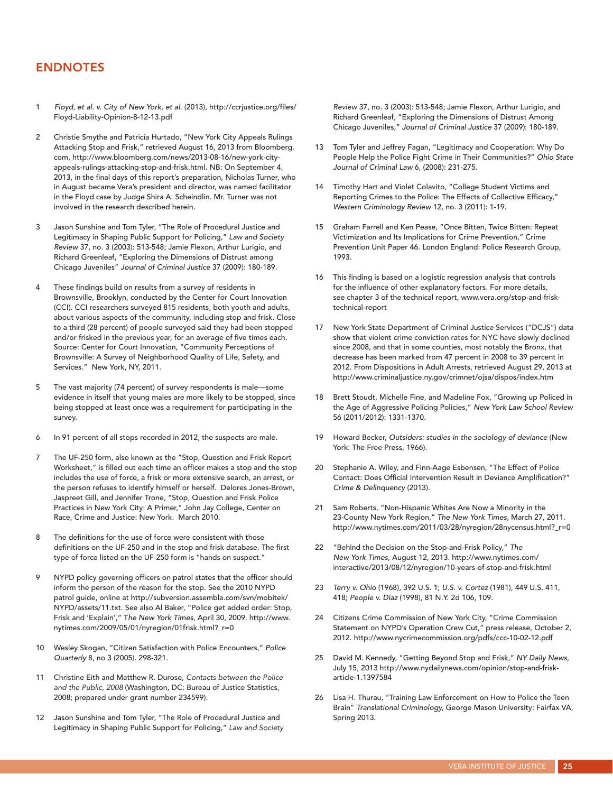#### ENDNOTES

- 1 *Floyd, et al. v. City of New York, et al*. (2013), http://ccrjustice.org/files/ Floyd-Liability-Opinion-8-12-13.pdf
- 2 Christie Smythe and Patricia Hurtado, "New York City Appeals Rulings Attacking Stop and Frisk," retrieved August 16, 2013 from Bloomberg. com, http://www.bloomberg.com/news/2013-08-16/new-york-cityappeals-rulings-attacking-stop-and-frisk.html. NB: On September 4, 2013, in the final days of this report's preparation, Nicholas Turner, who in August became Vera's president and director, was named facilitator in the Floyd case by Judge Shira A. Scheindlin. Mr. Turner was not involved in the research described herein.
- 3 Jason Sunshine and Tom Tyler, "The Role of Procedural Justice and Legitimacy in Shaping Public Support for Policing," *Law and Society Review* 37, no. 3 (2003): 513-548; Jamie Flexon, Arthur Lurigio, and Richard Greenleaf, "Exploring the Dimensions of Distrust among Chicago Juveniles" *Journal of Criminal Justice* 37 (2009): 180-189.
- 4 These findings build on results from a survey of residents in Brownsville, Brooklyn, conducted by the Center for Court Innovation (CCI). CCI researchers surveyed 815 residents, both youth and adults, about various aspects of the community, including stop and frisk. Close to a third (28 percent) of people surveyed said they had been stopped and/or frisked in the previous year, for an average of five times each. Source: Center for Court Innovation, "Community Perceptions of Brownsville: A Survey of Neighborhood Quality of Life, Safety, and Services." New York, NY, 2011.
- 5 The vast majority (74 percent) of survey respondents is male—some evidence in itself that young males are more likely to be stopped, since being stopped at least once was a requirement for participating in the survey.
- 6 In 91 percent of all stops recorded in 2012, the suspects are male.
- 7 The UF-250 form, also known as the "Stop, Question and Frisk Report Worksheet," is filled out each time an officer makes a stop and the stop includes the use of force, a frisk or more extensive search, an arrest, or the person refuses to identify himself or herself. Delores Jones-Brown, Jaspreet Gill, and Jennifer Trone, "Stop, Question and Frisk Police Practices in New York City: A Primer," John Jay College, Center on Race, Crime and Justice: New York. March 2010.
- 8 The definitions for the use of force were consistent with those definitions on the UF-250 and in the stop and frisk database. The first type of force listed on the UF-250 form is "hands on suspect."
- 9 NYPD policy governing officers on patrol states that the officer should inform the person of the reason for the stop. See the 2010 NYPD patrol guide, online at http://subversion.assembla.com/svn/mobitek/ NYPD/assets/11.txt. See also Al Baker, "Police get added order: Stop, Frisk and 'Explain'," T*he New York Times,* April 30, 2009. http://www. nytimes.com/2009/05/01/nyregion/01frisk.html?\_r=0
- 10 Wesley Skogan, "Citizen Satisfaction with Police Encounters," *Police Quarterly* 8, no 3 (2005). 298-321.
- 11 Christine Eith and Matthew R. Durose, *Contacts between the Police and the Public, 2008* (Washington, DC: Bureau of Justice Statistics, 2008; prepared under grant number 234599).
- 12 Jason Sunshine and Tom Tyler, "The Role of Procedural Justice and Legitimacy in Shaping Public Support for Policing," *Law and Society*

*Review* 37, no. 3 (2003): 513-548; Jamie Flexon, Arthur Lurigio, and Richard Greenleaf, "Exploring the Dimensions of Distrust Among Chicago Juveniles," *Journal of Criminal Justice* 37 (2009): 180-189.

- 13 Tom Tyler and Jeffrey Fagan, "Legitimacy and Cooperation: Why Do People Help the Police Fight Crime in Their Communities?" *Ohio State Journal of Criminal Law* 6, (2008): 231-275.
- 14 Timothy Hart and Violet Colavito, "College Student Victims and Reporting Crimes to the Police: The Effects of Collective Efficacy," *Western Criminology Review* 12, no. 3 (2011): 1-19.
- 15 Graham Farrell and Ken Pease, "Once Bitten, Twice Bitten: Repeat Victimization and Its Implications for Crime Prevention," Crime Prevention Unit Paper 46. London England: Police Research Group, 1993.
- 16 This finding is based on a logistic regression analysis that controls for the influence of other explanatory factors. For more details, see chapter 3 of the technical report, www.vera.org/stop-and-frisktechnical-report
- 17 New York State Department of Criminal Justice Services ("DCJS") data show that violent crime conviction rates for NYC have slowly declined since 2008, and that in some counties, most notably the Bronx, that decrease has been marked from 47 percent in 2008 to 39 percent in 2012. From Dispositions in Adult Arrests, retrieved August 29, 2013 at http://www.criminaljustice.ny.gov/crimnet/ojsa/dispos/index.htm
- 18 Brett Stoudt, Michelle Fine, and Madeline Fox, "Growing up Policed in the Age of Aggressive Policing Policies," *New York Law School Review* 56 (2011/2012): 1331-1370.
- 19 Howard Becker, *Outsiders: studies in the sociology of deviance* (New York: The Free Press, 1966).
- 20 Stephanie A. Wiley, and Finn-Aage Esbensen, "The Effect of Police Contact: Does Official Intervention Result in Deviance Amplification?" *Crime & Delinquency* (2013).
- 21 Sam Roberts, "Non-Hispanic Whites Are Now a Minority in the 23-County New York Region," *The New York Times*, March 27, 2011. http://www.nytimes.com/2011/03/28/nyregion/28nycensus.html?\_r=0
- 22 "Behind the Decision on the Stop-and-Frisk Policy," *The New York Times,* August 12, 2013. http://www.nytimes.com/ interactive/2013/08/12/nyregion/10-years-of-stop-and-frisk.html
- 23 *Terry v. Ohio* (1968), 392 U.S. 1; *U.S. v. Cortez* (1981), 449 U.S. 411, 418; *People v. Diaz* (1998), 81 N.Y. 2d 106, 109.
- 24 Citizens Crime Commission of New York City, "Crime Commission Statement on NYPD's Operation Crew Cut," press release, October 2, 2012. http://www.nycrimecommission.org/pdfs/ccc-10-02-12.pdf
- 25 David M. Kennedy, "Getting Beyond Stop and Frisk," *NY Daily News*, July 15, 2013 http://www.nydailynews.com/opinion/stop-and-friskarticle-1.1397584
- 26 Lisa H. Thurau, "Training Law Enforcement on How to Police the Teen Brain" *Translational Criminology,* George Mason University: Fairfax VA, Spring 2013.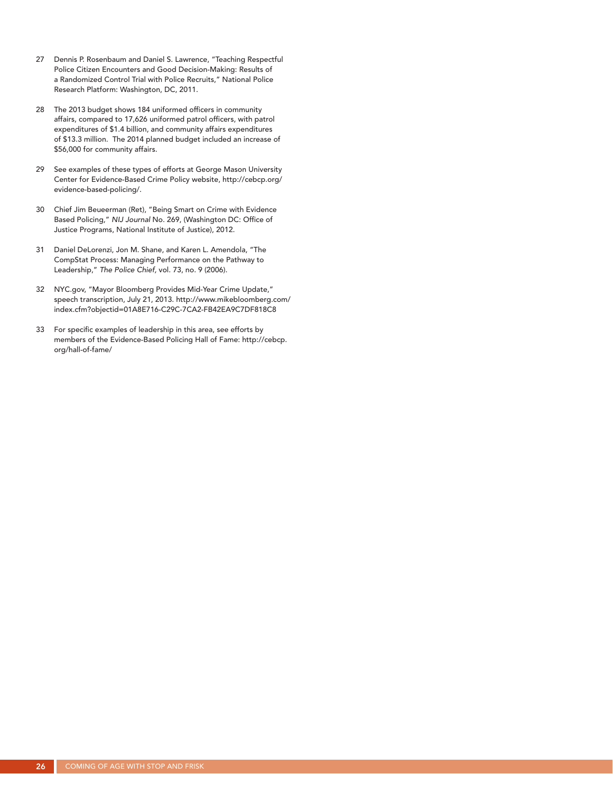- 27 Dennis P. Rosenbaum and Daniel S. Lawrence, "Teaching Respectful Police Citizen Encounters and Good Decision-Making: Results of a Randomized Control Trial with Police Recruits," National Police Research Platform: Washington, DC, 2011.
- 28 The 2013 budget shows 184 uniformed officers in community affairs, compared to 17,626 uniformed patrol officers, with patrol expenditures of \$1.4 billion, and community affairs expenditures of \$13.3 million. The 2014 planned budget included an increase of \$56,000 for community affairs.
- 29 See examples of these types of efforts at George Mason University Center for Evidence-Based Crime Policy website, http://cebcp.org/ evidence-based-policing/.
- 30 Chief Jim Beueerman (Ret), "Being Smart on Crime with Evidence Based Policing," *NIJ Journal* No. 269, (Washington DC: Office of Justice Programs, National Institute of Justice), 2012.
- 31 Daniel DeLorenzi, Jon M. Shane, and Karen L. Amendola, "The CompStat Process: Managing Performance on the Pathway to Leadership," *The Police Chief,* vol. 73, no. 9 (2006).
- 32 NYC.gov, "Mayor Bloomberg Provides Mid-Year Crime Update," speech transcription, July 21, 2013. http://www.mikebloomberg.com/ index.cfm?objectid=01A8E716-C29C-7CA2-FB42EA9C7DF818C8
- 33 For specific examples of leadership in this area, see efforts by members of the Evidence-Based Policing Hall of Fame: http://cebcp. org/hall-of-fame/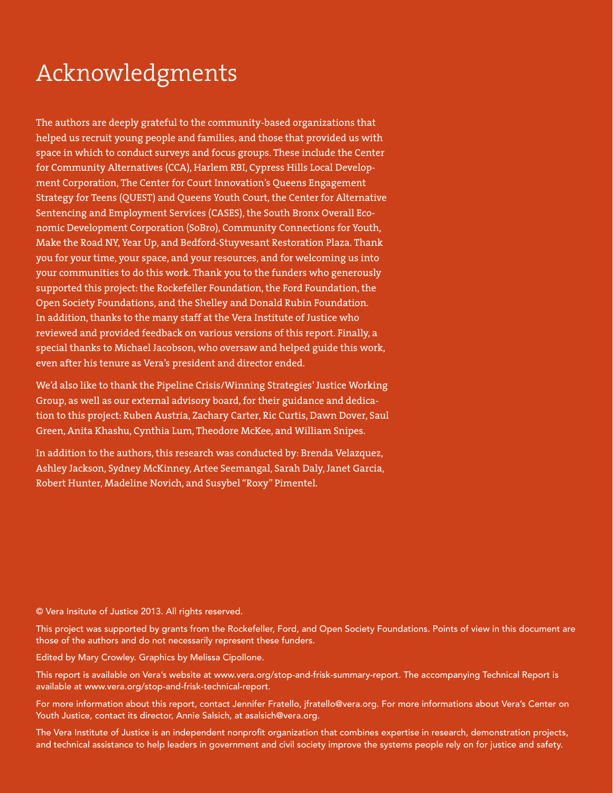# Acknowledgments

The authors are deeply grateful to the community-based organizations that helped us recruit young people and families, and those that provided us with space in which to conduct surveys and focus groups. These include the Center for Community Alternatives (CCA), Harlem RBI, Cypress Hills Local Development Corporation, The Center for Court Innovation's Queens Engagement Strategy for Teens (QUEST) and Queens Youth Court, the Center for Alternative Sentencing and Employment Services (CASES), the South Bronx Overall Economic Development Corporation (SoBro), Community Connections for Youth, Make the Road NY, Year Up, and Bedford-Stuyvesant Restoration Plaza. Thank you for your time, your space, and your resources, and for welcoming us into your communities to do this work. Thank you to the funders who generously supported this project: the Rockefeller Foundation, the Ford Foundation, the Open Society Foundations, and the Shelley and Donald Rubin Foundation. In addition, thanks to the many staff at the Vera Institute of Justice who reviewed and provided feedback on various versions of this report. Finally, a special thanks to Michael Jacobson, who oversaw and helped guide this work, even after his tenure as Vera's president and director ended.

We'd also like to thank the Pipeline Crisis/Winning Strategies' Justice Working Group, as well as our external advisory board, for their guidance and dedication to this project: Ruben Austria, Zachary Carter, Ric Curtis, Dawn Dover, Saul Green, Anita Khashu, Cynthia Lum, Theodore McKee, and William Snipes.

In addition to the authors, this research was conducted by: Brenda Velazquez, Ashley Jackson, Sydney McKinney, Artee Seemangal, Sarah Daly, Janet Garcia, Robert Hunter, Madeline Novich, and Susybel "Roxy" Pimentel.

#### © Vera Insitute of Justice 2013. All rights reserved.

This project was supported by grants from the Rockefeller, Ford, and Open Society Foundations. Points of view in this document are those of the authors and do not necessarily represent these funders.

Edited by Mary Crowley. Graphics by Melissa Cipollone.

This report is available on Vera's website at www.vera.org/stop-and-frisk-summary-report. The accompanying Technical Report is available at www.vera.org/stop-and-frisk-technical-report.

For more information about this report, contact Jennifer Fratello, jfratello@vera.org. For more informations about Vera's Center on Youth Justice, contact its director, Annie Salsich, at asalsich@vera.org.

The Vera Institute of Justice is an independent nonprofit organization that combines expertise in research, demonstration projects, and technical assistance to help leaders in government and civil society improve the systems people rely on for justice and safety.